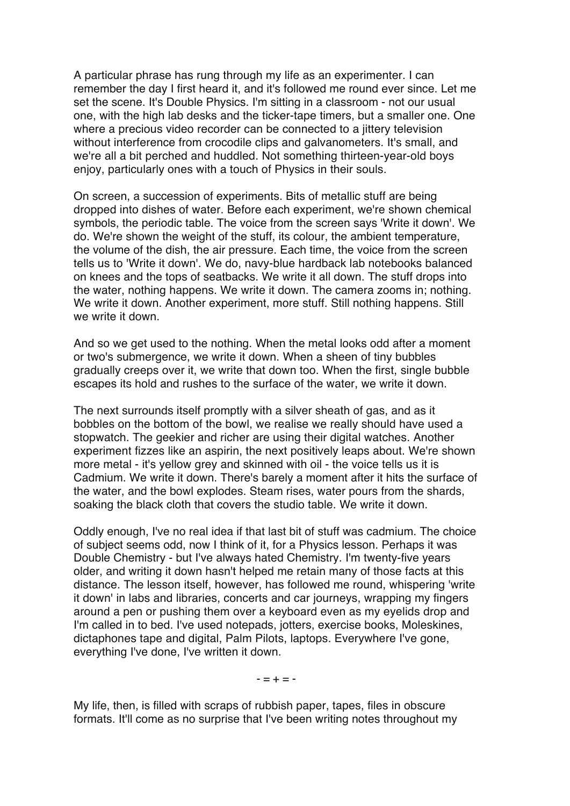A particular phrase has rung through my life as an experimenter. I can remember the day I first heard it, and it's followed me round ever since. Let me set the scene. It's Double Physics. I'm sitting in a classroom - not our usual one, with the high lab desks and the ticker-tape timers, but a smaller one. One where a precious video recorder can be connected to a jittery television without interference from crocodile clips and galvanometers. It's small, and we're all a bit perched and huddled. Not something thirteen-year-old boys enjoy, particularly ones with a touch of Physics in their souls.

On screen, a succession of experiments. Bits of metallic stuff are being dropped into dishes of water. Before each experiment, we're shown chemical symbols, the periodic table. The voice from the screen says 'Write it down'. We do. We're shown the weight of the stuff, its colour, the ambient temperature, the volume of the dish, the air pressure. Each time, the voice from the screen tells us to 'Write it down'. We do, navy-blue hardback lab notebooks balanced on knees and the tops of seatbacks. We write it all down. The stuff drops into the water, nothing happens. We write it down. The camera zooms in; nothing. We write it down. Another experiment, more stuff. Still nothing happens. Still we write it down.

And so we get used to the nothing. When the metal looks odd after a moment or two's submergence, we write it down. When a sheen of tiny bubbles gradually creeps over it, we write that down too. When the first, single bubble escapes its hold and rushes to the surface of the water, we write it down.

The next surrounds itself promptly with a silver sheath of gas, and as it bobbles on the bottom of the bowl, we realise we really should have used a stopwatch. The geekier and richer are using their digital watches. Another experiment fizzes like an aspirin, the next positively leaps about. We're shown more metal - it's yellow grey and skinned with oil - the voice tells us it is Cadmium. We write it down. There's barely a moment after it hits the surface of the water, and the bowl explodes. Steam rises, water pours from the shards, soaking the black cloth that covers the studio table. We write it down.

Oddly enough, I've no real idea if that last bit of stuff was cadmium. The choice of subject seems odd, now I think of it, for a Physics lesson. Perhaps it was Double Chemistry - but I've always hated Chemistry. I'm twenty-five years older, and writing it down hasn't helped me retain many of those facts at this distance. The lesson itself, however, has followed me round, whispering 'write it down' in labs and libraries, concerts and car journeys, wrapping my fingers around a pen or pushing them over a keyboard even as my eyelids drop and I'm called in to bed. I've used notepads, jotters, exercise books, Moleskines, dictaphones tape and digital, Palm Pilots, laptops. Everywhere I've gone, everything I've done, I've written it down.

 $- = + = -$ 

My life, then, is filled with scraps of rubbish paper, tapes, files in obscure formats. It'll come as no surprise that I've been writing notes throughout my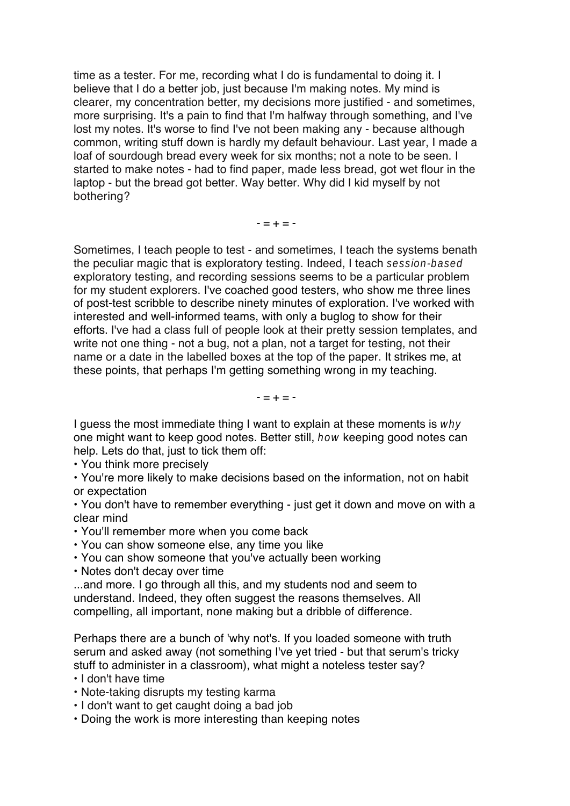time as a tester. For me, recording what I do is fundamental to doing it. I believe that I do a better job, just because I'm making notes. My mind is clearer, my concentration better, my decisions more justified - and sometimes, more surprising. It's a pain to find that I'm halfway through something, and I've lost my notes. It's worse to find I've not been making any - because although common, writing stuff down is hardly my default behaviour. Last year, I made a loaf of sourdough bread every week for six months; not a note to be seen. I started to make notes - had to find paper, made less bread, got wet flour in the laptop - but the bread got better. Way better. Why did I kid myself by not bothering?

 $- = + = -$ 

Sometimes, I teach people to test - and sometimes, I teach the systems benath the peculiar magic that is exploratory testing. Indeed, I teach session-based exploratory testing, and recording sessions seems to be a particular problem for my student explorers. I've coached good testers, who show me three lines of post-test scribble to describe ninety minutes of exploration. I've worked with interested and well-informed teams, with only a buglog to show for their efforts. I've had a class full of people look at their pretty session templates, and write not one thing - not a bug, not a plan, not a target for testing, not their name or a date in the labelled boxes at the top of the paper. It strikes me, at these points, that perhaps I'm getting something wrong in my teaching.

 $- = + = -$ 

I quess the most immediate thing I want to explain at these moments is why one might want to keep good notes. Better still, how keeping good notes can help. Lets do that, just to tick them off:

• You think more precisely

• You're more likely to make decisions based on the information, not on habit or expectation

• You don't have to remember everything - just get it down and move on with a clear mind

• You'll remember more when you come back

• You can show someone else, any time you like

• You can show someone that you've actually been working

• Notes don't decay over time

...and more. I go through all this, and my students nod and seem to understand. Indeed, they often suggest the reasons themselves. All compelling, all important, none making but a dribble of difference.

Perhaps there are a bunch of 'why not's. If you loaded someone with truth serum and asked away (not something I've yet tried - but that serum's tricky stuff to administer in a classroom), what might a noteless tester say?

• I don't have time

• Note-taking disrupts my testing karma

• I don't want to get caught doing a bad job

• Doing the work is more interesting than keeping notes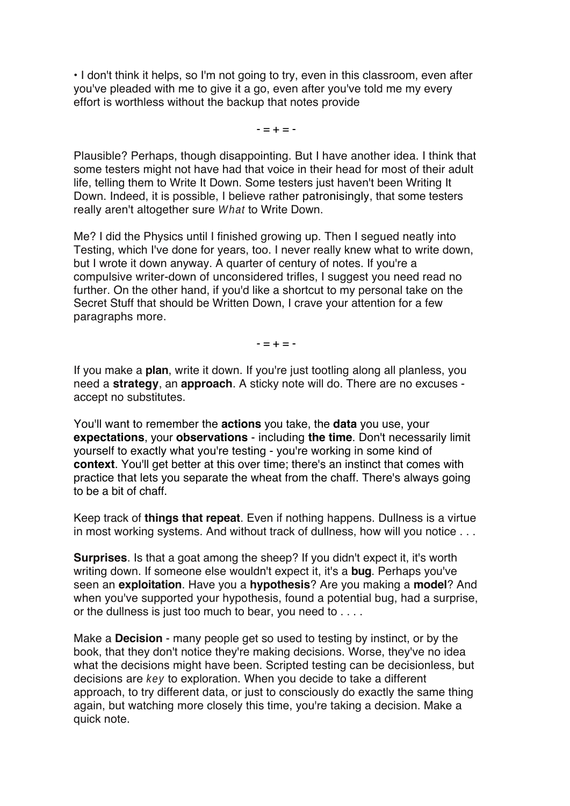• I don't think it helps, so I'm not going to try, even in this classroom, even after you've pleaded with me to give it a go, even after you've told me my every effort is worthless without the backup that notes provide

 $- = + = -$ 

Plausible? Perhaps, though disappointing. But I have another idea. I think that some testers might not have had that voice in their head for most of their adult life, telling them to Write It Down. Some testers just haven't been Writing It Down. Indeed, it is possible, I believe rather patronisingly, that some testers really aren't altogether sure What to Write Down.

Me? I did the Physics until I finished growing up. Then I segued neatly into Testing, which I've done for years, too. I never really knew what to write down, but I wrote it down anyway. A quarter of century of notes. If you're a compulsive writer-down of unconsidered trifles, I suggest you need read no further. On the other hand, if you'd like a shortcut to my personal take on the Secret Stuff that should be Written Down, I crave your attention for a few paragraphs more.

 $- = + = -$ 

If you make a **plan**, write it down. If you're just tootling along all planless, you need a **strategy**, an **approach**. A sticky note will do. There are no excuses accept no substitutes.

You'll want to remember the **actions** you take, the **data** you use, your **expectations**, your **observations** - including **the time**. Don't necessarily limit yourself to exactly what you're testing - you're working in some kind of **context**. You'll get better at this over time; there's an instinct that comes with practice that lets you separate the wheat from the chaff. There's always going to be a bit of chaff.

Keep track of **things that repeat**. Even if nothing happens. Dullness is a virtue in most working systems. And without track of dullness, how will you notice . . .

**Surprises**. Is that a goat among the sheep? If you didn't expect it, it's worth writing down. If someone else wouldn't expect it, it's a **bug**. Perhaps you've seen an **exploitation**. Have you a **hypothesis**? Are you making a **model**? And when you've supported your hypothesis, found a potential bug, had a surprise, or the dullness is just too much to bear, you need to . . . .

Make a **Decision** - many people get so used to testing by instinct, or by the book, that they don't notice they're making decisions. Worse, they've no idea what the decisions might have been. Scripted testing can be decisionless, but decisions are key to exploration. When you decide to take a different approach, to try different data, or just to consciously do exactly the same thing again, but watching more closely this time, you're taking a decision. Make a quick note.